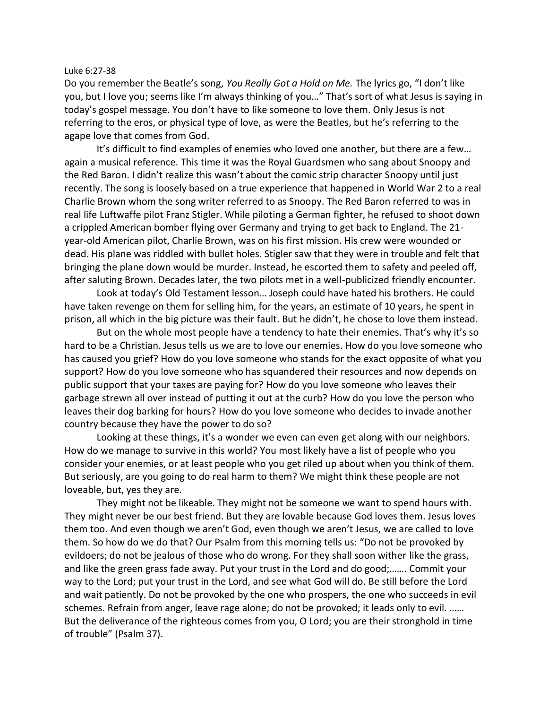## Luke 6:27-38

Do you remember the Beatle's song, *You Really Got a Hold on Me.* The lyrics go, "I don't like you, but I love you; seems like I'm always thinking of you…" That's sort of what Jesus is saying in today's gospel message. You don't have to like someone to love them. Only Jesus is not referring to the eros, or physical type of love, as were the Beatles, but he's referring to the agape love that comes from God.

It's difficult to find examples of enemies who loved one another, but there are a few… again a musical reference. This time it was the Royal Guardsmen who sang about Snoopy and the Red Baron. I didn't realize this wasn't about the comic strip character Snoopy until just recently. The song is loosely based on a true experience that happened in World War 2 to a real Charlie Brown whom the song writer referred to as Snoopy. The Red Baron referred to was in real life Luftwaffe pilot Franz Stigler. While piloting a German fighter, he refused to shoot down a crippled American bomber flying over Germany and trying to get back to England. The 21 year-old American pilot, Charlie Brown, was on his first mission. His crew were wounded or dead. His plane was riddled with bullet holes. Stigler saw that they were in trouble and felt that bringing the plane down would be murder. Instead, he escorted them to safety and peeled off, after saluting Brown. Decades later, the two pilots met in a well-publicized friendly encounter.

Look at today's Old Testament lesson… Joseph could have hated his brothers. He could have taken revenge on them for selling him, for the years, an estimate of 10 years, he spent in prison, all which in the big picture was their fault. But he didn't, he chose to love them instead.

But on the whole most people have a tendency to hate their enemies. That's why it's so hard to be a Christian. Jesus tells us we are to love our enemies. How do you love someone who has caused you grief? How do you love someone who stands for the exact opposite of what you support? How do you love someone who has squandered their resources and now depends on public support that your taxes are paying for? How do you love someone who leaves their garbage strewn all over instead of putting it out at the curb? How do you love the person who leaves their dog barking for hours? How do you love someone who decides to invade another country because they have the power to do so?

Looking at these things, it's a wonder we even can even get along with our neighbors. How do we manage to survive in this world? You most likely have a list of people who you consider your enemies, or at least people who you get riled up about when you think of them. But seriously, are you going to do real harm to them? We might think these people are not loveable, but, yes they are.

They might not be likeable. They might not be someone we want to spend hours with. They might never be our best friend. But they are lovable because God loves them. Jesus loves them too. And even though we aren't God, even though we aren't Jesus, we are called to love them. So how do we do that? Our Psalm from this morning tells us: "Do not be provoked by evildoers; do not be jealous of those who do wrong. For they shall soon wither like the grass, and like the green grass fade away. Put your trust in the Lord and do good;……. Commit your way to the Lord; put your trust in the Lord, and see what God will do. Be still before the Lord and wait patiently. Do not be provoked by the one who prospers, the one who succeeds in evil schemes. Refrain from anger, leave rage alone; do not be provoked; it leads only to evil. …… But the deliverance of the righteous comes from you, O Lord; you are their stronghold in time of trouble" (Psalm 37).